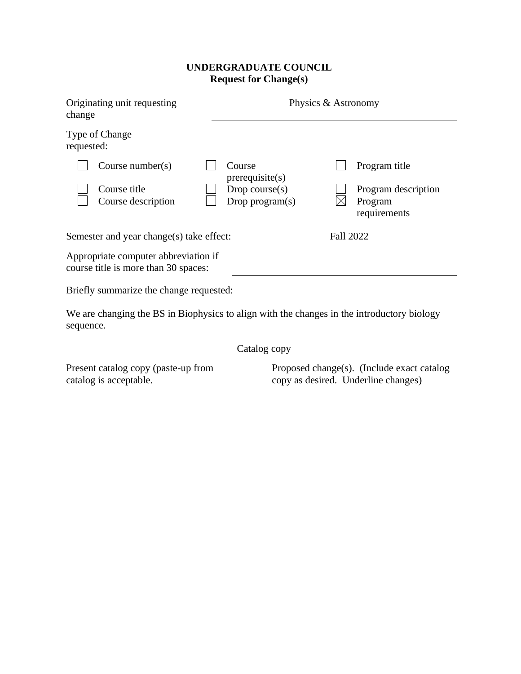## **UNDERGRADUATE COUNCIL Request for Change(s)**

| Originating unit requesting<br>change                                        |                                         | Physics & Astronomy                            |
|------------------------------------------------------------------------------|-----------------------------------------|------------------------------------------------|
| Type of Change<br>requested:                                                 |                                         |                                                |
| Course number( $s$ )                                                         | Course<br>prerequisite(s)               | Program title                                  |
| Course title<br>Course description                                           | Drop course $(s)$<br>Drop program $(s)$ | Program description<br>Program<br>requirements |
| Semester and year change(s) take effect:                                     |                                         | <b>Fall 2022</b>                               |
| Appropriate computer abbreviation if<br>course title is more than 30 spaces: |                                         |                                                |

Briefly summarize the change requested:

We are changing the BS in Biophysics to align with the changes in the introductory biology sequence.

Catalog copy

Present catalog copy (paste-up from catalog is acceptable.

Proposed change(s). (Include exact catalog copy as desired. Underline changes)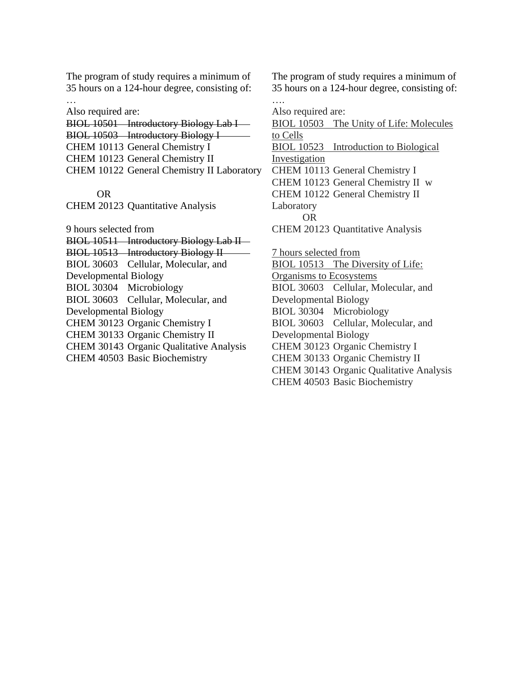The program of study requires a minimum of 35 hours on a 124-hour degree, consisting of: …

Also required are:

BIOL 10501 Introductory Biology Lab I-BIOL 10503 Introductory Biology I CHEM 10113 General Chemistry I CHEM 10123 General Chemistry II CHEM 10122 General Chemistry II Laboratory

OR

CHEM 20123 Quantitative Analysis

9 hours selected from BIOL 10511 Introductory Biology Lab II-BIOL 10513 Introductory Biology II BIOL 30603 Cellular, Molecular, and Developmental Biology BIOL 30304 Microbiology BIOL 30603 Cellular, Molecular, and Developmental Biology CHEM 30123 Organic Chemistry I CHEM 30133 Organic Chemistry II CHEM 30143 Organic Qualitative Analysis CHEM 40503 Basic Biochemistry

The program of study requires a minimum of 35 hours on a 124-hour degree, consisting of: ….

Also required are:

BIOL 10503 The Unity of Life: Molecules to Cells BIOL 10523 Introduction to Biological Investigation CHEM 10113 General Chemistry I CHEM 10123 General Chemistry II w CHEM 10122 General Chemistry II Laboratory OR CHEM 20123 Quantitative Analysis 7 hours selected from BIOL 10513 The Diversity of Life: Organisms to Ecosystems BIOL 30603 Cellular, Molecular, and Developmental Biology BIOL 30304 Microbiology BIOL 30603 Cellular, Molecular, and Developmental Biology CHEM 30123 Organic Chemistry I CHEM 30133 Organic Chemistry II CHEM 30143 Organic Qualitative Analysis

CHEM 40503 Basic Biochemistry